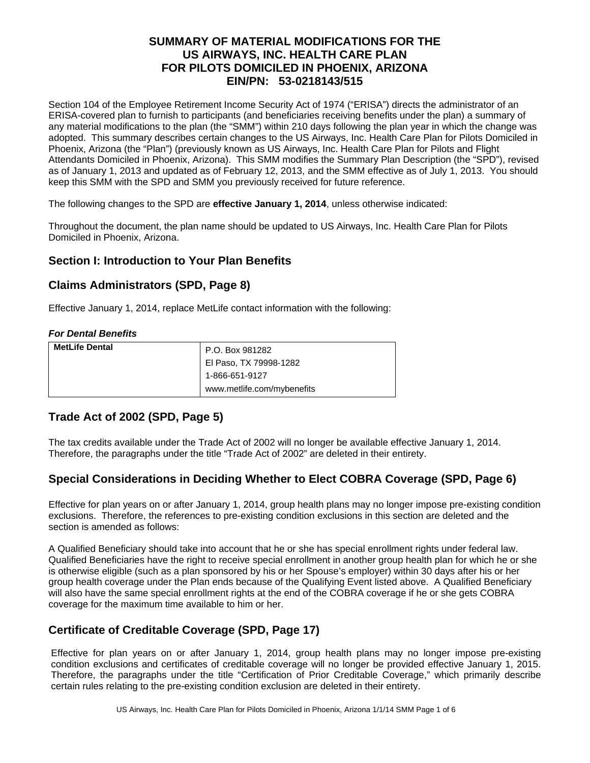# **SUMMARY OF MATERIAL MODIFICATIONS FOR THE US AIRWAYS, INC. HEALTH CARE PLAN FOR PILOTS DOMICILED IN PHOENIX, ARIZONA EIN/PN: 53-0218143/515**

Section 104 of the Employee Retirement Income Security Act of 1974 ("ERISA") directs the administrator of an ERISA-covered plan to furnish to participants (and beneficiaries receiving benefits under the plan) a summary of any material modifications to the plan (the "SMM") within 210 days following the plan year in which the change was adopted. This summary describes certain changes to the US Airways, Inc. Health Care Plan for Pilots Domiciled in Phoenix, Arizona (the "Plan") (previously known as US Airways, Inc. Health Care Plan for Pilots and Flight Attendants Domiciled in Phoenix, Arizona). This SMM modifies the Summary Plan Description (the "SPD"), revised as of January 1, 2013 and updated as of February 12, 2013, and the SMM effective as of July 1, 2013. You should keep this SMM with the SPD and SMM you previously received for future reference.

The following changes to the SPD are **effective January 1, 2014**, unless otherwise indicated:

Throughout the document, the plan name should be updated to US Airways, Inc. Health Care Plan for Pilots Domiciled in Phoenix, Arizona.

### **Section I: Introduction to Your Plan Benefits**

### **Claims Administrators (SPD, Page 8)**

Effective January 1, 2014, replace MetLife contact information with the following:

#### *For Dental Benefits*

| <b>MetLife Dental</b> | P.O. Box 981282            |
|-----------------------|----------------------------|
|                       | El Paso, TX 79998-1282     |
|                       | 1-866-651-9127             |
|                       | www.metlife.com/mybenefits |

# **Trade Act of 2002 (SPD, Page 5)**

The tax credits available under the Trade Act of 2002 will no longer be available effective January 1, 2014. Therefore, the paragraphs under the title "Trade Act of 2002" are deleted in their entirety.

# **Special Considerations in Deciding Whether to Elect COBRA Coverage (SPD, Page 6)**

Effective for plan years on or after January 1, 2014, group health plans may no longer impose pre-existing condition exclusions. Therefore, the references to pre-existing condition exclusions in this section are deleted and the section is amended as follows:

A Qualified Beneficiary should take into account that he or she has special enrollment rights under federal law. Qualified Beneficiaries have the right to receive special enrollment in another group health plan for which he or she is otherwise eligible (such as a plan sponsored by his or her Spouse's employer) within 30 days after his or her group health coverage under the Plan ends because of the Qualifying Event listed above. A Qualified Beneficiary will also have the same special enrollment rights at the end of the COBRA coverage if he or she gets COBRA coverage for the maximum time available to him or her.

# **Certificate of Creditable Coverage (SPD, Page 17)**

Effective for plan years on or after January 1, 2014, group health plans may no longer impose pre-existing condition exclusions and certificates of creditable coverage will no longer be provided effective January 1, 2015. Therefore, the paragraphs under the title "Certification of Prior Creditable Coverage," which primarily describe certain rules relating to the pre-existing condition exclusion are deleted in their entirety.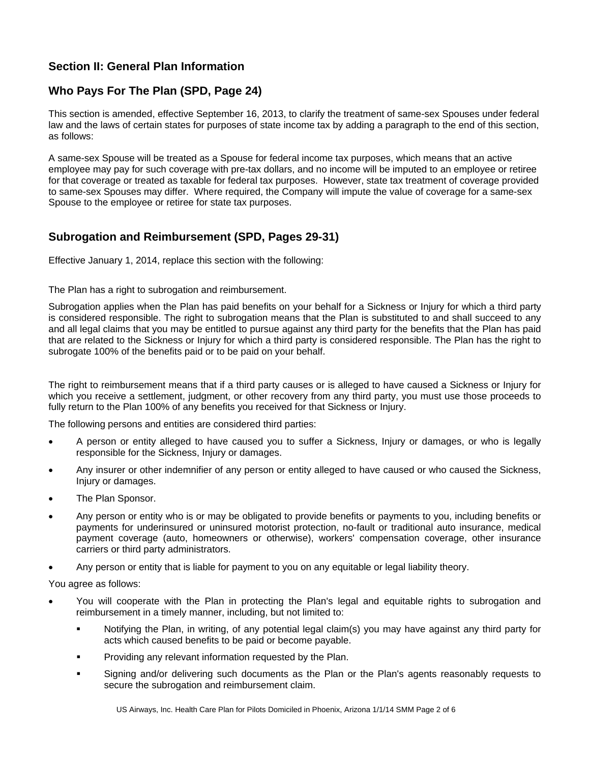# **Section II: General Plan Information**

# **Who Pays For The Plan (SPD, Page 24)**

This section is amended, effective September 16, 2013, to clarify the treatment of same-sex Spouses under federal law and the laws of certain states for purposes of state income tax by adding a paragraph to the end of this section, as follows:

A same-sex Spouse will be treated as a Spouse for federal income tax purposes, which means that an active employee may pay for such coverage with pre-tax dollars, and no income will be imputed to an employee or retiree for that coverage or treated as taxable for federal tax purposes. However, state tax treatment of coverage provided to same-sex Spouses may differ. Where required, the Company will impute the value of coverage for a same-sex Spouse to the employee or retiree for state tax purposes.

# **Subrogation and Reimbursement (SPD, Pages 29-31)**

Effective January 1, 2014, replace this section with the following:

The Plan has a right to subrogation and reimbursement.

Subrogation applies when the Plan has paid benefits on your behalf for a Sickness or Injury for which a third party is considered responsible. The right to subrogation means that the Plan is substituted to and shall succeed to any and all legal claims that you may be entitled to pursue against any third party for the benefits that the Plan has paid that are related to the Sickness or Injury for which a third party is considered responsible. The Plan has the right to subrogate 100% of the benefits paid or to be paid on your behalf.

The right to reimbursement means that if a third party causes or is alleged to have caused a Sickness or Injury for which you receive a settlement, judgment, or other recovery from any third party, you must use those proceeds to fully return to the Plan 100% of any benefits you received for that Sickness or Injury.

The following persons and entities are considered third parties:

- A person or entity alleged to have caused you to suffer a Sickness, Injury or damages, or who is legally responsible for the Sickness, Injury or damages.
- Any insurer or other indemnifier of any person or entity alleged to have caused or who caused the Sickness, Injury or damages.
- The Plan Sponsor.
- Any person or entity who is or may be obligated to provide benefits or payments to you, including benefits or payments for underinsured or uninsured motorist protection, no-fault or traditional auto insurance, medical payment coverage (auto, homeowners or otherwise), workers' compensation coverage, other insurance carriers or third party administrators.
- Any person or entity that is liable for payment to you on any equitable or legal liability theory.

You agree as follows:

- You will cooperate with the Plan in protecting the Plan's legal and equitable rights to subrogation and reimbursement in a timely manner, including, but not limited to:
	- Notifying the Plan, in writing, of any potential legal claim(s) you may have against any third party for acts which caused benefits to be paid or become payable.
	- Providing any relevant information requested by the Plan.
	- Signing and/or delivering such documents as the Plan or the Plan's agents reasonably requests to secure the subrogation and reimbursement claim.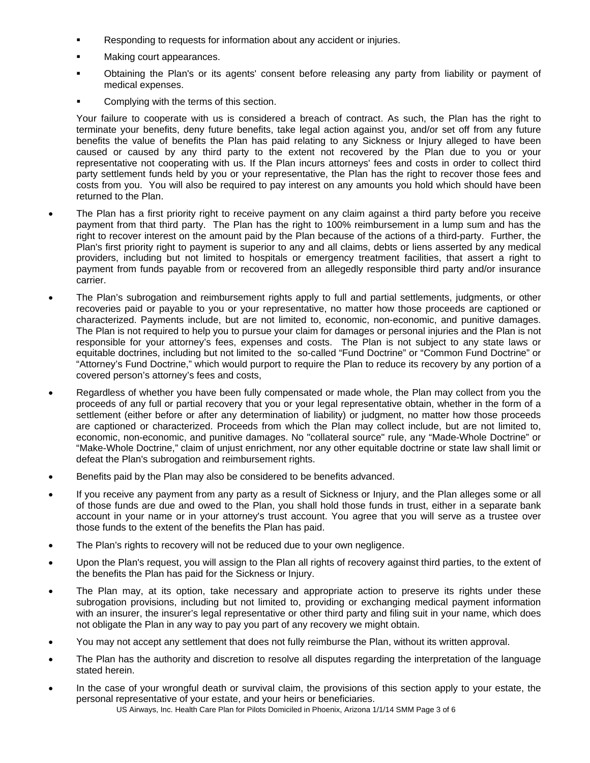- Responding to requests for information about any accident or injuries.
- Making court appearances.
- Obtaining the Plan's or its agents' consent before releasing any party from liability or payment of medical expenses.
- Complying with the terms of this section.

Your failure to cooperate with us is considered a breach of contract. As such, the Plan has the right to terminate your benefits, deny future benefits, take legal action against you, and/or set off from any future benefits the value of benefits the Plan has paid relating to any Sickness or Injury alleged to have been caused or caused by any third party to the extent not recovered by the Plan due to you or your representative not cooperating with us. If the Plan incurs attorneys' fees and costs in order to collect third party settlement funds held by you or your representative, the Plan has the right to recover those fees and costs from you. You will also be required to pay interest on any amounts you hold which should have been returned to the Plan.

- The Plan has a first priority right to receive payment on any claim against a third party before you receive payment from that third party. The Plan has the right to 100% reimbursement in a lump sum and has the right to recover interest on the amount paid by the Plan because of the actions of a third-party. Further, the Plan's first priority right to payment is superior to any and all claims, debts or liens asserted by any medical providers, including but not limited to hospitals or emergency treatment facilities, that assert a right to payment from funds payable from or recovered from an allegedly responsible third party and/or insurance carrier.
- The Plan's subrogation and reimbursement rights apply to full and partial settlements, judgments, or other recoveries paid or payable to you or your representative, no matter how those proceeds are captioned or characterized. Payments include, but are not limited to, economic, non-economic, and punitive damages. The Plan is not required to help you to pursue your claim for damages or personal injuries and the Plan is not responsible for your attorney's fees, expenses and costs. The Plan is not subject to any state laws or equitable doctrines, including but not limited to the so-called "Fund Doctrine" or "Common Fund Doctrine" or "Attorney's Fund Doctrine," which would purport to require the Plan to reduce its recovery by any portion of a covered person's attorney's fees and costs,
- Regardless of whether you have been fully compensated or made whole, the Plan may collect from you the proceeds of any full or partial recovery that you or your legal representative obtain, whether in the form of a settlement (either before or after any determination of liability) or judgment, no matter how those proceeds are captioned or characterized. Proceeds from which the Plan may collect include, but are not limited to, economic, non-economic, and punitive damages. No "collateral source" rule, any "Made-Whole Doctrine" or "Make-Whole Doctrine," claim of unjust enrichment, nor any other equitable doctrine or state law shall limit or defeat the Plan's subrogation and reimbursement rights.
- Benefits paid by the Plan may also be considered to be benefits advanced.
- If you receive any payment from any party as a result of Sickness or Injury, and the Plan alleges some or all of those funds are due and owed to the Plan, you shall hold those funds in trust, either in a separate bank account in your name or in your attorney's trust account. You agree that you will serve as a trustee over those funds to the extent of the benefits the Plan has paid.
- The Plan's rights to recovery will not be reduced due to your own negligence.
- Upon the Plan's request, you will assign to the Plan all rights of recovery against third parties, to the extent of the benefits the Plan has paid for the Sickness or Injury.
- The Plan may, at its option, take necessary and appropriate action to preserve its rights under these subrogation provisions, including but not limited to, providing or exchanging medical payment information with an insurer, the insurer's legal representative or other third party and filing suit in your name, which does not obligate the Plan in any way to pay you part of any recovery we might obtain.
- You may not accept any settlement that does not fully reimburse the Plan, without its written approval.
- The Plan has the authority and discretion to resolve all disputes regarding the interpretation of the language stated herein.
- In the case of your wrongful death or survival claim, the provisions of this section apply to your estate, the personal representative of your estate, and your heirs or beneficiaries.

US Airways, Inc. Health Care Plan for Pilots Domiciled in Phoenix, Arizona 1/1/14 SMM Page 3 of 6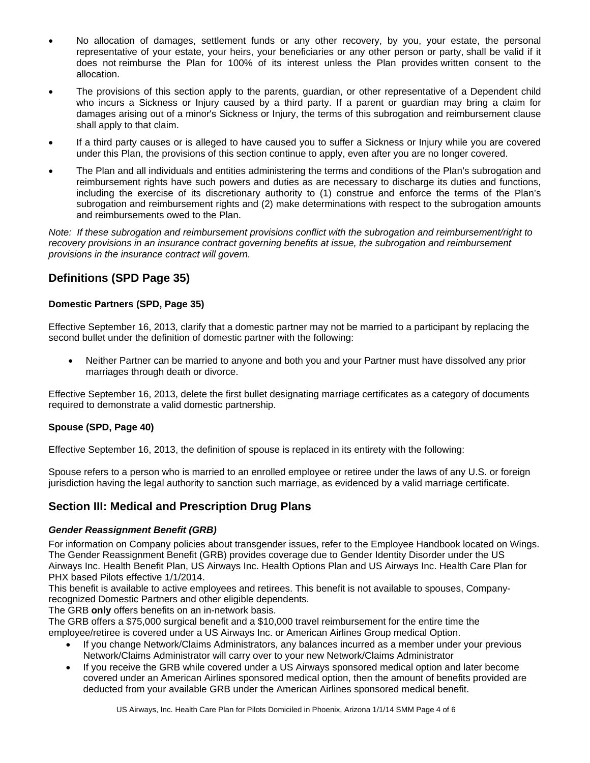- No allocation of damages, settlement funds or any other recovery, by you, your estate, the personal representative of your estate, your heirs, your beneficiaries or any other person or party, shall be valid if it does not reimburse the Plan for 100% of its interest unless the Plan provides written consent to the allocation.
- The provisions of this section apply to the parents, guardian, or other representative of a Dependent child who incurs a Sickness or Injury caused by a third party. If a parent or guardian may bring a claim for damages arising out of a minor's Sickness or Injury, the terms of this subrogation and reimbursement clause shall apply to that claim.
- If a third party causes or is alleged to have caused you to suffer a Sickness or Injury while you are covered under this Plan, the provisions of this section continue to apply, even after you are no longer covered.
- The Plan and all individuals and entities administering the terms and conditions of the Plan's subrogation and reimbursement rights have such powers and duties as are necessary to discharge its duties and functions, including the exercise of its discretionary authority to (1) construe and enforce the terms of the Plan's subrogation and reimbursement rights and (2) make determinations with respect to the subrogation amounts and reimbursements owed to the Plan.

*Note: If these subrogation and reimbursement provisions conflict with the subrogation and reimbursement/right to recovery provisions in an insurance contract governing benefits at issue, the subrogation and reimbursement provisions in the insurance contract will govern.* 

# **Definitions (SPD Page 35)**

### **Domestic Partners (SPD, Page 35)**

Effective September 16, 2013, clarify that a domestic partner may not be married to a participant by replacing the second bullet under the definition of domestic partner with the following:

 Neither Partner can be married to anyone and both you and your Partner must have dissolved any prior marriages through death or divorce.

Effective September 16, 2013, delete the first bullet designating marriage certificates as a category of documents required to demonstrate a valid domestic partnership.

#### **Spouse (SPD, Page 40)**

Effective September 16, 2013, the definition of spouse is replaced in its entirety with the following:

Spouse refers to a person who is married to an enrolled employee or retiree under the laws of any U.S. or foreign jurisdiction having the legal authority to sanction such marriage, as evidenced by a valid marriage certificate.

# **Section III: Medical and Prescription Drug Plans**

#### *Gender Reassignment Benefit (GRB)*

For information on Company policies about transgender issues, refer to the Employee Handbook located on Wings. The Gender Reassignment Benefit (GRB) provides coverage due to Gender Identity Disorder under the US Airways Inc. Health Benefit Plan, US Airways Inc. Health Options Plan and US Airways Inc. Health Care Plan for PHX based Pilots effective 1/1/2014.

This benefit is available to active employees and retirees. This benefit is not available to spouses, Companyrecognized Domestic Partners and other eligible dependents.

The GRB **only** offers benefits on an in-network basis.

The GRB offers a \$75,000 surgical benefit and a \$10,000 travel reimbursement for the entire time the employee/retiree is covered under a US Airways Inc. or American Airlines Group medical Option.

- If you change Network/Claims Administrators, any balances incurred as a member under your previous Network/Claims Administrator will carry over to your new Network/Claims Administrator
- If you receive the GRB while covered under a US Airways sponsored medical option and later become covered under an American Airlines sponsored medical option, then the amount of benefits provided are deducted from your available GRB under the American Airlines sponsored medical benefit.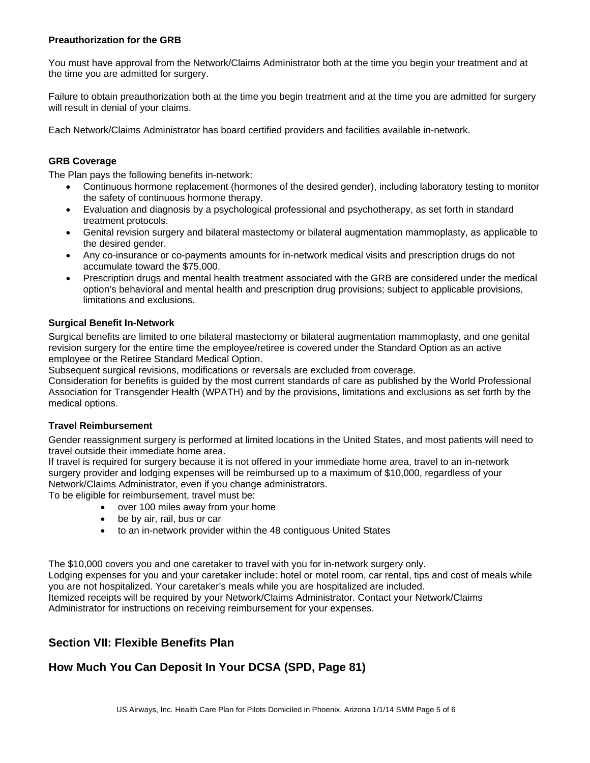#### **Preauthorization for the GRB**

You must have approval from the Network/Claims Administrator both at the time you begin your treatment and at the time you are admitted for surgery.

Failure to obtain preauthorization both at the time you begin treatment and at the time you are admitted for surgery will result in denial of your claims.

Each Network/Claims Administrator has board certified providers and facilities available in-network.

#### **GRB Coverage**

The Plan pays the following benefits in-network:

- Continuous hormone replacement (hormones of the desired gender), including laboratory testing to monitor the safety of continuous hormone therapy.
- Evaluation and diagnosis by a psychological professional and psychotherapy, as set forth in standard treatment protocols.
- Genital revision surgery and bilateral mastectomy or bilateral augmentation mammoplasty, as applicable to the desired gender.
- Any co-insurance or co-payments amounts for in-network medical visits and prescription drugs do not accumulate toward the \$75,000.
- Prescription drugs and mental health treatment associated with the GRB are considered under the medical option's behavioral and mental health and prescription drug provisions; subject to applicable provisions, limitations and exclusions.

#### **Surgical Benefit In-Network**

Surgical benefits are limited to one bilateral mastectomy or bilateral augmentation mammoplasty, and one genital revision surgery for the entire time the employee/retiree is covered under the Standard Option as an active employee or the Retiree Standard Medical Option.

Subsequent surgical revisions, modifications or reversals are excluded from coverage.

Consideration for benefits is guided by the most current standards of care as published by the World Professional Association for Transgender Health (WPATH) and by the provisions, limitations and exclusions as set forth by the medical options.

#### **Travel Reimbursement**

Gender reassignment surgery is performed at limited locations in the United States, and most patients will need to travel outside their immediate home area.

If travel is required for surgery because it is not offered in your immediate home area, travel to an in-network surgery provider and lodging expenses will be reimbursed up to a maximum of \$10,000, regardless of your Network/Claims Administrator, even if you change administrators.

To be eligible for reimbursement, travel must be:

- over 100 miles away from your home
- be by air, rail, bus or car
- to an in-network provider within the 48 contiguous United States

The \$10,000 covers you and one caretaker to travel with you for in-network surgery only.

Lodging expenses for you and your caretaker include: hotel or motel room, car rental, tips and cost of meals while you are not hospitalized. Your caretaker's meals while you are hospitalized are included. Itemized receipts will be required by your Network/Claims Administrator. Contact your Network/Claims

Administrator for instructions on receiving reimbursement for your expenses.

### **Section VII: Flexible Benefits Plan**

# **How Much You Can Deposit In Your DCSA (SPD, Page 81)**